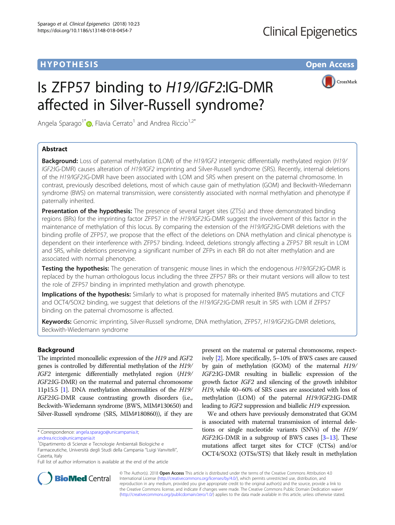# **HYPOTHESIS CONSUMING A SIMULATION CONSUMING A SIMULATION CONSUMING A SIMULATION CONSUMING A SIMULATION CONSUMING A SIMULATION**

CrossMark

# Is ZFP57 binding to H19/IGF2:IG-DMR affected in Silver-Russell syndrome?

Angela Sparago<sup>1\*</sup>  $\bullet$ [,](http://orcid.org/0000-0003-4352-945X) Flavia Cerrato<sup>1</sup> and Andrea Riccio<sup>1,2\*</sup>

# Abstract

Background: Loss of paternal methylation (LOM) of the H19/IGF2 intergenic differentially methylated region (H19/ IGF2:IG-DMR) causes alteration of H19/IGF2 imprinting and Silver-Russell syndrome (SRS). Recently, internal deletions of the H19/IGF2:IG-DMR have been associated with LOM and SRS when present on the paternal chromosome. In contrast, previously described deletions, most of which cause gain of methylation (GOM) and Beckwith-Wiedemann syndrome (BWS) on maternal transmission, were consistently associated with normal methylation and phenotype if paternally inherited.

**Presentation of the hypothesis:** The presence of several target sites (ZTSs) and three demonstrated binding regions (BRs) for the imprinting factor ZFP57 in the H19/IGF2:IG-DMR suggest the involvement of this factor in the maintenance of methylation of this locus. By comparing the extension of the H19/IGF2:IG-DMR deletions with the binding profile of ZFP57, we propose that the effect of the deletions on DNA methylation and clinical phenotype is dependent on their interference with ZFP57 binding. Indeed, deletions strongly affecting a ZFP57 BR result in LOM and SRS, while deletions preserving a significant number of ZFPs in each BR do not alter methylation and are associated with normal phenotype.

**Testing the hypothesis:** The generation of transgenic mouse lines in which the endogenous H19/IGF2:IG-DMR is replaced by the human orthologous locus including the three ZFP57 BRs or their mutant versions will allow to test the role of ZFP57 binding in imprinted methylation and growth phenotype.

Implications of the hypothesis: Similarly to what is proposed for maternally inherited BWS mutations and CTCF and OCT4/SOX2 binding, we suggest that deletions of the H19/IGF2:IG-DMR result in SRS with LOM if ZFP57 binding on the paternal chromosome is affected.

Keywords: Genomic imprinting, Silver-Russell syndrome, DNA methylation, ZFP57, H19/IGF2:IG-DMR deletions, Beckwith-Wiedemann syndrome

# Background

The imprinted monoallelic expression of the H19 and IGF2 genes is controlled by differential methylation of the H19/ IGF2 intergenic differentially methylated region (H19/ IGF2:IG-DMR) on the maternal and paternal chromosome 11p15.5 [[1](#page-3-0)]. DNA methylation abnormalities of the H19/ IGF2:IG-DMR cause contrasting growth disorders (i.e., Beckwith-Wiedemann syndrome (BWS, MIM#130650) and Silver-Russell syndrome (SRS, MIM#180860)), if they are

<sup>1</sup>Dipartimento di Scienze e Tecnologie Ambientali Biologiche e Farmaceutiche, Università degli Studi della Campania "Luigi Vanvitelli", Caserta, Italy

present on the maternal or paternal chromosome, respectively [\[2\]](#page-3-0). More specifically, 5–10% of BWS cases are caused by gain of methylation (GOM) of the maternal H19/ IGF2:IG-DMR resulting in biallelic expression of the growth factor IGF2 and silencing of the growth inhibitor H19, while 40–60% of SRS cases are associated with loss of methylation (LOM) of the paternal H19/IGF2:IG-DMR leading to IGF2 suppression and biallelic H19 expression.

We and others have previously demonstrated that GOM is associated with maternal transmission of internal deletions or single nucleotide variants (SNVs) of the H19/ IGF2:IG-DMR in a subgroup of BWS cases [[3](#page-3-0)–[13](#page-4-0)]. These mutations affect target sites for CTCF (CTSs) and/or OCT4/SOX2 (OTSs/STS) that likely result in methylation



© The Author(s). 2018 Open Access This article is distributed under the terms of the Creative Commons Attribution 4.0 International License [\(http://creativecommons.org/licenses/by/4.0/](http://creativecommons.org/licenses/by/4.0/)), which permits unrestricted use, distribution, and reproduction in any medium, provided you give appropriate credit to the original author(s) and the source, provide a link to the Creative Commons license, and indicate if changes were made. The Creative Commons Public Domain Dedication waiver [\(http://creativecommons.org/publicdomain/zero/1.0/](http://creativecommons.org/publicdomain/zero/1.0/)) applies to the data made available in this article, unless otherwise stated.

<sup>\*</sup> Correspondence: [angela.sparago@unicampania.it;](mailto:angela.sparago@unicampania.it)

[andrea.riccio@unicampania.it](mailto:andrea.riccio@unicampania.it)

Full list of author information is available at the end of the article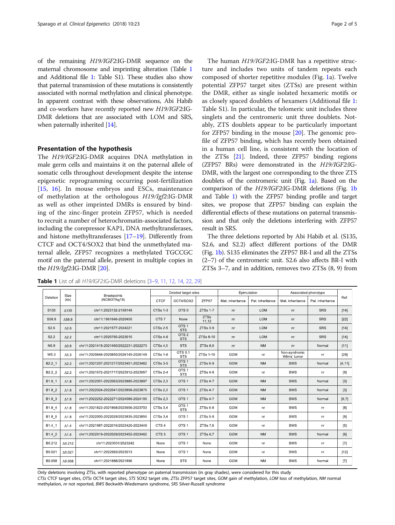<span id="page-1-0"></span>of the remaining H19/IGF2:IG-DMR sequence on the maternal chromosome and imprinting alteration (Table 1 and Additional file [1:](#page-3-0) Table S1). These studies also show that paternal transmission of these mutations is consistently associated with normal methylation and clinical phenotype. In apparent contrast with these observations, Abi Habib and co-workers have recently reported new H19/IGF2:IG-DMR deletions that are associated with LOM and SRS, when paternally inherited [\[14\]](#page-4-0).

## Presentation of the hypothesis

The H19/IGF2:IG-DMR acquires DNA methylation in male germ cells and maintains it on the paternal allele of somatic cells throughout development despite the intense epigenetic reprogramming occurring post-fertilization [[15,](#page-4-0) [16\]](#page-4-0). In mouse embryos and ESCs, maintenance of methylation at the orthologous H19/Igf2:IG-DMR as well as other imprinted DMRs is ensured by binding of the zinc-finger protein ZFP57, which is needed to recruit a number of heterochromatin-associated factors, including the corepressor KAP1, DNA methyltransferases, and histone methyltransferases [\[17](#page-4-0)–[19](#page-4-0)]. Differently from CTCF and OCT4/SOX2 that bind the unmethylated maternal allele, ZFP57 recognizes a methylated TGCCGC motif on the paternal allele, present in multiple copies in the  $H19/Igf2:IG-DMR [20]$  $H19/Igf2:IG-DMR [20]$  $H19/Igf2:IG-DMR [20]$ .

The human H19/IGF2:IG-DMR has a repetitive structure and includes two units of tandem repeats each composed of shorter repetitive modules (Fig. [1a](#page-2-0)). Twelve potential ZFP57 target sites (ZTSs) are present within the DMR, either as single isolated hexameric motifs or as closely spaced doublets of hexamers (Additional file [1](#page-3-0): Table S1). In particular, the telomeric unit includes three singlets and the centromeric unit three doublets. Notably, ZTS doublets appear to be particularly important for ZFP57 binding in the mouse [[20\]](#page-4-0). The genomic profile of ZFP57 binding, which has recently been obtained in a human cell line, is consistent with the location of the ZTSs [\[21\]](#page-4-0). Indeed, three ZFP57 binding regions (ZFP57 BRs) were demonstrated in the H19/IGF2:IG-DMR, with the largest one corresponding to the three ZTS doublets of the centromeric unit (Fig. [1a](#page-2-0)). Based on the comparison of the H19/IGF2:IG-DMR deletions (Fig. [1b](#page-2-0) and Table 1) with the ZFP57 binding profile and target sites, we propose that ZFP57 binding can explain the differential effects of these mutations on paternal transmission and that only the deletions interfering with ZFP57 result in SRS.

The three deletions reported by Abi Habib et al. (S135, S2.6, and S2.2) affect different portions of the DMR (Fig. [1b](#page-2-0)). S135 eliminates the ZFP57 BR-I and all the ZTSs (2–7) of the centromeric unit. S2.6 also affects BR-I with ZTSs 3–7, and in addition, removes two ZTSs (8, 9) from

| Deletion         | Size<br>(kb)   | <b>Breakpoints</b><br>(NCBI37/hg19)   | Deleted target sites |                                |                      | Epimutation      |                  | Associated phenotype          |                  |         |
|------------------|----------------|---------------------------------------|----------------------|--------------------------------|----------------------|------------------|------------------|-------------------------------|------------------|---------|
|                  |                |                                       | <b>CTCF</b>          | OCT4/SOX2                      | ZFP57                | Mat. inheritance | Pat. inheritance | Mat. inheritance              | Pat. inheritance | Ref.    |
| S <sub>135</sub> | $\Delta$ 135   | chr11:2023132-2158149                 | CTSs 1-3             | OTS <sub>0</sub>               | ZTSs 1-7             | nr               | <b>LOM</b>       | nr                            | <b>SRS</b>       | $[14]$  |
| S58.8            | $\Delta$ 58.8  | chr11:1961646-2020450                 | CTS7                 | None                           | <b>ZTSs</b><br>11.12 | nr               | <b>LOM</b>       | nr                            | <b>SRS</b>       | [22]    |
| S2.6             | $\Delta$ 2.6   | chr11:2021577-2024221                 | CTSs 2-5             | OTS <sub>1</sub><br><b>STS</b> | ZTSs 3-9             | nr               | LOM              | nr                            | <b>SRS</b>       | $[14]$  |
| S <sub>2.2</sub> | $\Delta$ 2.2   | chr11:2020760-2023010                 | CTSs 4-6             | OTS <sub>2</sub><br><b>STS</b> | ZTSs 8-10            | nr               | <b>LOM</b>       | nr                            | <b>SRS</b>       | $[14]$  |
| N <sub>0.8</sub> | $\Delta 0.8$   | chr11:2021418-2021460/2022231-2022273 | CTSs 4.5             | <b>STS</b>                     | ZTSs 8.9             | nr               | <b>NM</b>        | nr                            | Normal           | [11]    |
| W <sub>5.3</sub> | $\Delta$ 5.3   | chr11:2020846-2020850/2026145-2026149 | CTSs 1-6             | OTS 0.1<br><b>STS</b>          | ZTSs 1-10            | GOM              | nr               | Non-syndromic<br>Wilms' tumor | nr               | [29]    |
| B2.2 1           | $\Delta$ 2.2   | chr11:2021207-2021217/2023451-2023462 | CTSs 3-5             | OTS <sub>1</sub><br><b>STS</b> | ZTSs69               | GOM              | <b>NM</b>        | <b>BWS</b>                    | Normal           | [4, 11] |
| B2.2 2           | $\Delta$ 2.2   | chr11:2021672-2021717/2023912-2023957 | CTSs 2-4             | OTS <sub>1</sub><br><b>STS</b> | ZTSs48               | GOM              | nr               | <b>BWS</b>                    | nr               | [9]     |
| B1.8 1           | $\Delta$ 1.8   | chr11:2022051-2022063/2023885-2023897 | <b>CTSs 2,3</b>      | OTS <sub>1</sub>               | $ZTSs$ 4-7           | GOM              | <b>NM</b>        | <b>BWS</b>                    | Normal           | $[3]$   |
| B1.8 2           | $\Delta$ 1.8   | chr11:2022024-2022041/2023858-2023875 | <b>CTSs 2.3</b>      | OTS <sub>1</sub>               | ZTSs 4-7             | <b>GOM</b>       | <b>NM</b>        | <b>BWS</b>                    | Normal           | $[3]$   |
| B1.8 3           | $\Delta$ 1.8   | chr11:2022252-2022271/2024086-2024105 | CTSs 2.3             | OTS <sub>1</sub>               | $ZTSs4-7$            | GOM              | <b>NM</b>        | <b>BWS</b>                    | Normal           | [6, 7]  |
| B1.8 4           | $\Lambda$ 1.8  | chr11:2021822-2021868/2023656-2023703 | <b>CTSs 3.4</b>      | OTS <sub>1</sub><br><b>STS</b> | ZTSs68               | GOM              | nr               | <b>BWS</b>                    | nr               | [8]     |
| B1.8 5           | $\Delta$ 1.8   | chr11:2022000-2022029/2023835-2023855 | CTSs 3.4             | OTS <sub>1</sub>               | $ZTSs5-8$            | GOM              | nr               | <b>BWS</b>                    | nr               | [9]     |
| B1.4 1           | $\Delta$ 1.4   | chr11:2021987-2022016/2023420-2023449 | CTS <sub>4</sub>     | OTS <sub>1</sub>               | ZTSs 7.8             | GOM              | nr               | <b>BWS</b>                    | nr               | [5]     |
| B1.4 2           | $\Delta$ 1.4   | chr11:2022019-2022029/2023452-2023462 | CTS <sub>3</sub>     | OTS <sub>1</sub>               | ZTSs 6.7             | GOM              | <b>NM</b>        | <b>BWS</b>                    | Normal           | [6]     |
| B0.212           | $\Delta$ 0.212 | chr11:2023031/2023242                 | None                 | OTS <sub>1</sub>               | None                 | GOM              | nr               | <b>BWS</b>                    | nr               | $[7]$   |
| B0.021           | $\Delta 0.021$ | chr11:2022993/2023013                 | None                 | OTS <sub>1</sub>               | None                 | GOM              | nr               | <b>BWS</b>                    | nr               | $[12]$  |
| B0.008           | $\Delta 0.008$ | chr11:2021888/2021896                 | None                 | <b>STS</b>                     | None                 | GOM              | <b>NM</b>        | <b>BWS</b>                    | Normal           | $[7]$   |

Table 1 List of all H19/IGF2:IG-DMR deletions [[3](#page-3-0)-[9,](#page-3-0) [11,](#page-4-0) [12](#page-4-0), [14](#page-4-0), [22](#page-4-0), [29\]](#page-4-0)

Only deletions involving ZTSs, with reported phenotype on paternal transmission (in gray shades), were considered for this study CTSs CTCF target sites, OTSs OCT4 target sites, STS SOX2 target site, ZTSs ZFP57 target sites, GOM gain of methylation, LOM loss of methylation, NM normal methylation, nr not reported, BWS Beckwith-Wiedemann syndrome, SRS Silver-Russell syndrome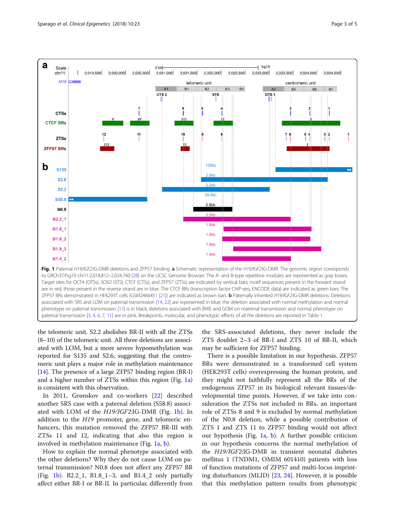<span id="page-2-0"></span>

the telomeric unit. S2.2 abolishes BR-II with all the ZTSs (8–10) of the telomeric unit. All three deletions are associated with LOM, but a more severe hypomethylation was reported for S135 and S2.6, suggesting that the centromeric unit plays a major role in methylation maintenance [[14](#page-4-0)]. The presence of a large ZFP57 binding region (BR-I) and a higher number of ZTSs within this region (Fig. 1a) is consistent with this observation.

In 2011, Grønskov and co-workers [\[22\]](#page-4-0) described another SRS case with a paternal deletion (S58.8) associated with LOM of the H19/IGF2:IG-DMR (Fig. 1b). In addition to the H19 promoter, gene, and telomeric enhancers, this mutation removed the ZFP57 BR-III with ZTSs 11 and 12, indicating that also this region is involved in methylation maintenance (Fig. 1a, b).

How to explain the normal phenotype associated with the other deletions? Why they do not cause LOM on paternal transmission? N0.8 does not affect any ZFP57 BR (Fig. 1b). B2.2<sub>1</sub>, B1.8<sub>1</sub>-3, and B1.4<sub>2</sub> only partially affect either BR-I or BR-II. In particular, differently from the SRS-associated deletions, they never include the ZTS doublet 2–3 of BR-I and ZTS 10 of BR-II, which may be sufficient for ZFP57 binding.

There is a possible limitation in our hypothesis. ZFP57 BRs were demonstrated in a transformed cell system (HEK293T cells) overexpressing the human protein, and they might not faithfully represent all the BRs of the endogenous ZFP57 in its biological relevant tissues/developmental time points. However, if we take into consideration the ZTSs not included in BRs, an important role of ZTSs 8 and 9 is excluded by normal methylation of the N0.8 deletion, while a possible contribution of ZTS 1 and ZTS 11 to ZFP57 binding would not affect our hypothesis (Fig. 1a, b). A further possible criticism in our hypothesis concerns the normal methylation of the H19/IGF2:IG-DMR in transient neonatal diabetes mellitus 1 (TNDM1, OMIM 601410) patients with loss of function mutations of ZFP57 and multi-locus imprinting disturbances (MLID) [[23,](#page-4-0) [24\]](#page-4-0). However, it is possible that this methylation pattern results from phenotypic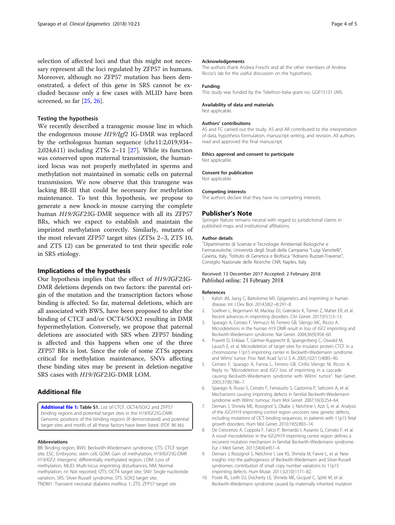<span id="page-3-0"></span>selection of affected loci and that this might not necessary represent all the loci regulated by ZFP57 in humans. Moreover, although no ZFP57 mutation has been demonstrated, a defect of this gene in SRS cannot be excluded because only a few cases with MLID have been screened, so far [\[25](#page-4-0), [26](#page-4-0)].

### Testing the hypothesis

We recently described a transgenic mouse line in which the endogenous mouse H19/Igf2 IG-DMR was replaced by the orthologous human sequence (chr11:2,019,934– 2,024,611) including ZTSs 2–11 [\[27](#page-4-0)]. While its function was conserved upon maternal transmission, the humanized locus was not properly methylated in sperms and methylation not maintained in somatic cells on paternal transmission. We now observe that this transgene was lacking BR-III that could be necessary for methylation maintenance. To test this hypothesis, we propose to generate a new knock-in mouse carrying the complete human H19/IGF2:IG-DMR sequence with all its ZFP57 BRs, which we expect to establish and maintain the imprinted methylation correctly. Similarly, mutants of the most relevant ZFP57 target sites (ZTSs 2–3, ZTS 10, and ZTS 12) can be generated to test their specific role in SRS etiology.

## Implications of the hypothesis

Our hypothesis implies that the effect of H19/IGF2:IG-DMR deletions depends on two factors: the parental origin of the mutation and the transcription factors whose binding is affected. So far, maternal deletions, which are all associated with BWS, have been proposed to alter the binding of CTCF and/or OCT4/SOX2 resulting in DMR hypermethylation. Conversely, we propose that paternal deletions are associated with SRS when ZFP57 binding is affected and this happens when one of the three ZFP57 BRs is lost. Since the role of some ZTSs appears critical for methylation maintenance, SNVs affecting these binding sites may be present in deletion-negative SRS cases with H19/IGF2:IG-DMR LOM.

# Additional file

[Additional file 1:](https://doi.org/10.1186/s13148-018-0454-7) Table S1. List of CTCF, OCT4/SOX2 and ZFP57 binding regions and potential target sites in the H19/IGF2:IG-DMR. Genomic positions of the binding regions (if demonstrated) and potential target sites and motifs of all these factors have been listed. (PDF 86 kb)

#### Abbreviations

BR: Binding region; BWS: Beckwith-Wiedemann syndrome; CTS: CTCF target site; ESC: Embryonic stem cell; GOM: Gain of methylation; H19/IGF2:IG-DMR H19/IGF2: Intergenic differentially methylated region; LOM: Loss of methylation; MLID: Multi-locus imprinting disturbances; NM: Normal methylation; nr: Not reported; OTS: OCT4 target site; SNV: Single nucleotide variation; SRS: Silver-Russell syndrome; STS: SOX2 target site; TNDM1: Transient neonatal diabetes mellitus 1; ZTS: ZFP57 target site

#### Acknowledgements

The authors thank Andrea Freschi and all the other members of Andrea Riccio's lab for the useful discussion on the hypothesis.

#### Funding

This study was funded by the Telethon-Italia grant no. GGP15131 (AR).

# Availability of data and materials

Not applicable.

#### Authors' contributions

AS and FC carried out the study. AS and AR contributed to the interpretation of data, hypothesis formulation, manuscript writing, and revision. All authors read and approved the final manuscript.

#### Ethics approval and consent to participate

Consent for publication

Not applicable.

Not applicable.

#### Competing interests

The authors declare that they have no competing interests.

## Publisher's Note

Springer Nature remains neutral with regard to jurisdictional claims in published maps and institutional affiliations.

#### Author details

<sup>1</sup>Dipartimento di Scienze e Tecnologie Ambientali Biologiche e Farmaceutiche, Università degli Studi della Campania "Luigi Vanvitelli", Caserta, Italy. <sup>2</sup>Istituto di Genetica e Biofisica "Adriano Buzzati-Traverso" Consiglio Nazionale delle Ricerche CNR, Naples, Italy.

## Received: 13 December 2017 Accepted: 2 February 2018 Published online: 21 February 2018

#### References

- 1. Kalish JM, Jiang C, Bartolomei MS. Epigenetics and imprinting in human disease. Int J Dev Biol. 2014;58(2–4):291–8.
- 2. Soellner L, Begemann M, Mackay DJ, Grønskov K, Tümer Z, Maher ER, et al. Recent advances in imprinting disorders. Clin Genet. 2017;91(1):3–13.
- 3. Sparago A, Cerrato F, Vernucci M, Ferrero GB, Silengo MC, Riccio A. Microdeletions in the human H19 DMR result in loss of IGF2 imprinting and Beckwith-Wiedemann syndrome. Nat Genet. 2004;36(9):958–60.
- 4. Prawitt D, Enklaar T, Gärtner-Rupprecht B, Spangenberg C, Oswald M, Lausch E, et al. Microdeletion of target sites for insulator protein CTCF in a chromosome 11p15 imprinting center in Beckwith-Wiedemann syndrome and Wilms' tumor. Proc Natl Acad Sci U S A. 2005;102(11):4085–90.
- 5. Cerrato F, Sparago A, Farina L, Ferrero GB, Cirillo-Silengo M, Riccio A. Reply to "Microdeletion and IGF2 loss of imprinting in a cascade causing Beckwith-Wiedemann syndrome with Wilms' tumor". Nat Genet. 2005;37(8):786–7.
- 6. Sparago A, Russo S, Cerrato F, Ferraiuolo S, Castorina P, Selicorni A, et al. Mechanisms causing imprinting defects in familial Beckwith-Wiedemann syndrome with Wilms' tumour. Hum Mol Genet. 2007;16(3):254–64.
- 7. Demars J, Shmela ME, Rossignol S, Okabe J, Netchine I, Azzi S, et al. Analysis of the IGF2/H19 imprinting control region uncovers new genetic defects, including mutations of OCT-binding sequences, in patients with 11p15 fetal growth disorders. Hum Mol Genet. 2010;19(5):803–14.
- 8. De Crescenzo A, Coppola F, Falco P, Bernardo I, Ausanio G, Cerrato F, et al. A novel microdeletion in the IGF2/H19 imprinting centre region defines a recurrent mutation mechanism in familial Beckwith-Wiedemann syndrome. Eur J Med Genet. 2011;54(4):e451–4.
- 9. Demars J, Rossignol S, Netchine I, Lee KS, Shmela M, Faivre L, et al. New insights into the pathogenesis of Beckwith-Wiedemann and Silver-Russell syndromes: contribution of small copy number variations to 11p15 imprinting defects. Hum Mutat. 2011;32(10):1171–82.
- 10. Poole RL, Leith DJ, Docherty LE, Shmela ME, Gicquel C, Splitt M, et al. Beckwith-Wiedemann syndrome caused by maternally inherited mutation